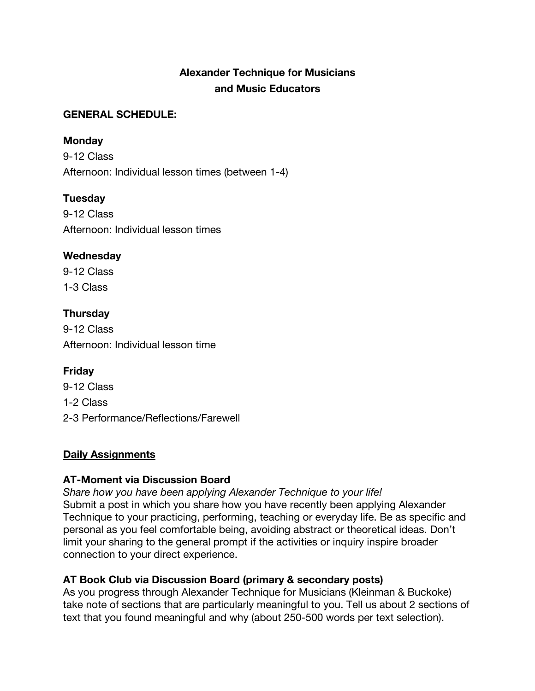# **Alexander Technique for Musicians and Music Educators**

#### **GENERAL SCHEDULE:**

#### **Monday**

9-12 Class Afternoon: Individual lesson times (between 1-4)

### **Tuesday**

9-12 Class Afternoon: Individual lesson times

### **Wednesday**

9-12 Class 1-3 Class

# **Thursday**

9-12 Class Afternoon: Individual lesson time

### **Friday**

9-12 Class 1-2 Class 2-3 Performance/Reflections/Farewell

### **Daily Assignments**

### **AT-Moment via Discussion Board**

*Share how you have been applying Alexander Technique to your life!* Submit a post in which you share how you have recently been applying Alexander Technique to your practicing, performing, teaching or everyday life. Be as specific and personal as you feel comfortable being, avoiding abstract or theoretical ideas. Don't limit your sharing to the general prompt if the activities or inquiry inspire broader connection to your direct experience.

### **AT Book Club via Discussion Board (primary & secondary posts)**

As you progress through Alexander Technique for Musicians (Kleinman & Buckoke) take note of sections that are particularly meaningful to you. Tell us about 2 sections of text that you found meaningful and why (about 250-500 words per text selection).